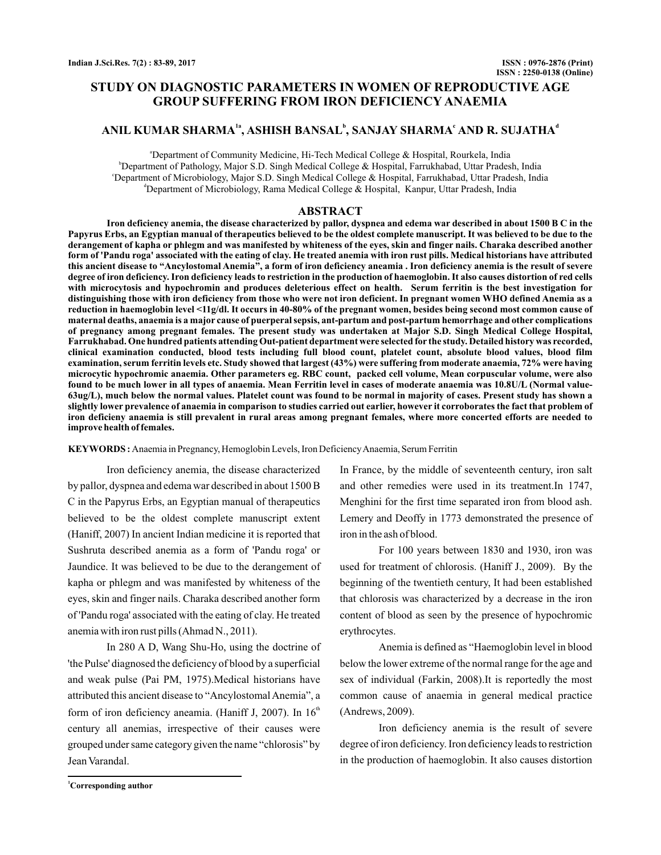# **STUDY ON DIAGNOSTIC PARAMETERS IN WOMEN OF REPRODUCTIVE AGE GROUP SUFFERING FROM IRON DEFICIENCY ANAEMIA**

# ANIL KUMAR SHARMA<sup>1a</sup>, ASHISH BANSAL<sup>b</sup>, SANJAY SHARMA<sup>c</sup> AND R. SUJATHA<sup>d</sup>

<sup>a</sup>Department of Community Medicine, Hi-Tech Medical College & Hospital, Rourkela, India b Department of Pathology, Major S.D. Singh Medical College & Hospital, Farrukhabad, Uttar Pradesh, India c Department of Microbiology, Major S.D. Singh Medical College & Hospital, Farrukhabad, Uttar Pradesh, India d Department of Microbiology, Rama Medical College & Hospital, Kanpur, Uttar Pradesh, India

### **ABSTRACT**

**Iron deficiency anemia, the disease characterized by pallor, dyspnea and edema war described in about 1500 B C in the Papyrus Erbs, an Egyptian manual of therapeutics believed to be the oldest complete manuscript. It was believed to be due to the derangement of kapha or phlegm and was manifested by whiteness of the eyes, skin and finger nails. Charaka described another form of 'Pandu roga' associated with the eating of clay. He treated anemia with iron rust pills. Medical historians have attributed this ancient disease to "Ancylostomal Anemia", a form of iron deficiency aneamia . Iron deficiency anemia is the result of severe degree of iron deficiency. Iron deficiency leads to restriction in the production of haemoglobin. It also causes distortion of red cells with microcytosis and hypochromin and produces deleterious effect on health. Serum ferritin is the best investigation for distinguishing those with iron deficiency from those who were not iron deficient. In pregnant women WHO defined Anemia as a reduction in haemoglobin level <11g/dl. It occurs in 40-80% of the pregnant women, besides being second most common cause of maternal deaths, anaemia is a major cause of puerperal sepsis, ant-partum and post-partum hemorrhage and other complications of pregnancy among pregnant females. The present study was undertaken at Major S.D. Singh Medical College Hospital, Farrukhabad. One hundred patients attending Out-patient department were selected for the study. Detailed history was recorded, clinical examination conducted, blood tests including full blood count, platelet count, absolute blood values, blood film examination, serum ferritin levels etc. Study showed that largest (43%) were suffering from moderate anaemia, 72% were having microcytic hypochromic anaemia. Other parameters eg. RBC count, packed cell volume, Mean corpuscular volume, were also found to be much lower in all types of anaemia. Mean Ferritin level in cases of moderate anaemia was 10.8U/L (Normal value-63ug/L), much below the normal values. Platelet count was found to be normal in majority of cases. Present study has shown a slightly lower prevalence of anaemia in comparison to studies carried out earlier, however it corroborates the fact that problem of iron deficieny anaemia is still prevalent in rural areas among pregnant females, where more concerted efforts are needed to improve health of females.**

**KEYWORDS:** Anaemia in Pregnancy, Hemoglobin Levels, Iron Deficiency Anaemia, Serum Ferritin

Iron deficiency anemia, the disease characterized by pallor, dyspnea and edema war described in about 1500 B C in the Papyrus Erbs, an Egyptian manual of therapeutics believed to be the oldest complete manuscript extent (Haniff, 2007) In ancient Indian medicine it is reported that Sushruta described anemia as a form of 'Pandu roga' or Jaundice. It was believed to be due to the derangement of kapha or phlegm and was manifested by whiteness of the eyes, skin and finger nails. Charaka described another form of 'Pandu roga' associated with the eating of clay. He treated anemia with iron rust pills (Ahmad N., 2011).

In 280 A D, Wang Shu-Ho, using the doctrine of 'the Pulse' diagnosed the deficiency of blood by a superficial and weak pulse (Pai PM, 1975).Medical historians have attributed this ancient disease to "Ancylostomal Anemia", a form of iron deficiency aneamia. (Haniff J, 2007). In 16<sup>th</sup> century all anemias, irrespective of their causes were grouped under same category given the name "chlorosis" by Jean Varandal.

In France, by the middle of seventeenth century, iron salt and other remedies were used in its treatment.In 1747, Menghini for the first time separated iron from blood ash. Lemery and Deoffy in 1773 demonstrated the presence of iron in the ash of blood.

For 100 years between 1830 and 1930, iron was used for treatment of chlorosis. (Haniff J., 2009). By the beginning of the twentieth century, It had been established that chlorosis was characterized by a decrease in the iron content of blood as seen by the presence of hypochromic erythrocytes.

Anemia is defined as "Haemoglobin level in blood below the lower extreme of the normal range for the age and sex of individual (Farkin, 2008).It is reportedly the most common cause of anaemia in general medical practice (Andrews, 2009).

Iron deficiency anemia is the result of severe degree of iron deficiency. Iron deficiency leads to restriction in the production of haemoglobin. It also causes distortion

**<sup>1</sup>Corresponding author**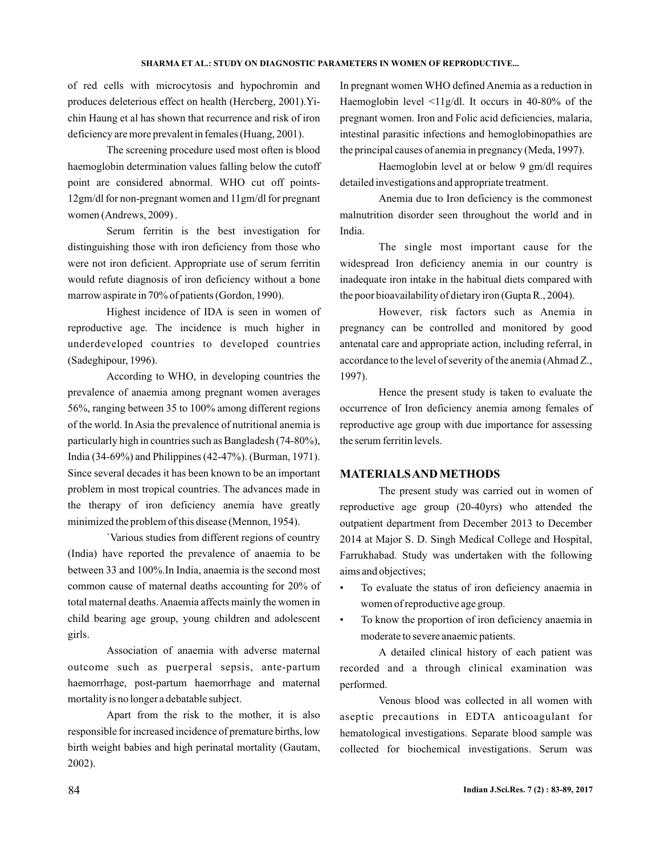of red cells with microcytosis and hypochromin and produces deleterious effect on health (Hercberg, 2001).Yichin Haung et al has shown that recurrence and risk of iron deficiency are more prevalent in females (Huang, 2001).

The screening procedure used most often is blood haemoglobin determination values falling below the cutoff point are considered abnormal. WHO cut off points-12gm/dl for non-pregnant women and 11gm/dl for pregnant women (Andrews, 2009) .

Serum ferritin is the best investigation for distinguishing those with iron deficiency from those who were not iron deficient. Appropriate use of serum ferritin would refute diagnosis of iron deficiency without a bone marrow aspirate in 70% of patients (Gordon, 1990).

Highest incidence of IDA is seen in women of reproductive age. The incidence is much higher in underdeveloped countries to developed countries (Sadeghipour, 1996).

According to WHO, in developing countries the prevalence of anaemia among pregnant women averages 56%, ranging between 35 to 100% among different regions of the world. In Asia the prevalence of nutritional anemia is particularly high in countries such as Bangladesh (74-80%), India (34-69%) and Philippines (42-47%). (Burman, 1971). Since several decades it has been known to be an important problem in most tropical countries. The advances made in the therapy of iron deficiency anemia have greatly minimized the problem of this disease (Mennon, 1954).

`Various studies from different regions of country (India) have reported the prevalence of anaemia to be between 33 and 100%.In India, anaemia is the second most common cause of maternal deaths accounting for 20% of total maternal deaths.Anaemia affects mainly the women in child bearing age group, young children and adolescent girls.

Association of anaemia with adverse maternal outcome such as puerperal sepsis, ante-partum haemorrhage, post-partum haemorrhage and maternal mortality is no longer a debatable subject.

Apart from the risk to the mother, it is also responsible for increased incidence of premature births, low birth weight babies and high perinatal mortality (Gautam, 2002).

In pregnant women WHO defined Anemia as a reduction in Haemoglobin level <11g/dl. It occurs in 40-80% of the pregnant women. Iron and Folic acid deficiencies, malaria, intestinal parasitic infections and hemoglobinopathies are the principal causes of anemia in pregnancy (Meda, 1997).

Haemoglobin level at or below 9 gm/dl requires detailed investigations and appropriate treatment.

Anemia due to Iron deficiency is the commonest malnutrition disorder seen throughout the world and in India.

The single most important cause for the widespread Iron deficiency anemia in our country is inadequate iron intake in the habitual diets compared with the poor bioavailability of dietary iron (Gupta R., 2004).

However, risk factors such as Anemia in pregnancy can be controlled and monitored by good antenatal care and appropriate action, including referral, in accordance to the level of severity of the anemia (Ahmad Z., 1997).

Hence the present study is taken to evaluate the occurrence of Iron deficiency anemia among females of reproductive age group with due importance for assessing the serum ferritin levels.

### **MATERIALSANDMETHODS**

The present study was carried out in women of reproductive age group (20-40yrs) who attended the outpatient department from December 2013 to December 2014 at Major S. D. Singh Medical College and Hospital, Farrukhabad. Study was undertaken with the following aims and objectives;

- To evaluate the status of iron deficiency anaemia in women of reproductive age group.
- To know the proportion of iron deficiency anaemia in moderate to severe anaemic patients.

A detailed clinical history of each patient was recorded and a through clinical examination was performed.

Venous blood was collected in all women with aseptic precautions in EDTA anticoagulant for hematological investigations. Separate blood sample was collected for biochemical investigations. Serum was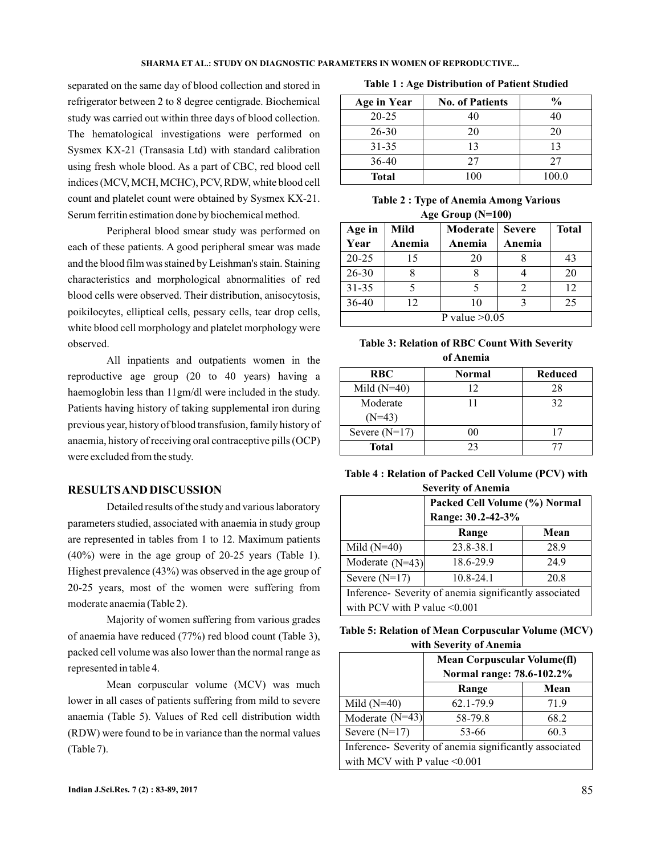separated on the same day of blood collection and stored in refrigerator between 2 to 8 degree centigrade. Biochemical study was carried out within three days of blood collection. The hematological investigations were performed on Sysmex KX-21 (Transasia Ltd) with standard calibration using fresh whole blood. As a part of CBC, red blood cell indices (MCV, MCH, MCHC), PCV, RDW, white blood cell count and platelet count were obtained by Sysmex KX-21. Serum ferritin estimation done by biochemical method.

Peripheral blood smear study was performed on each of these patients. A good peripheral smear was made and the blood film was stained by Leishman's stain. Staining characteristics and morphological abnormalities of red blood cells were observed. Their distribution, anisocytosis, poikilocytes, elliptical cells, pessary cells, tear drop cells, white blood cell morphology and platelet morphology were observed.

All inpatients and outpatients women in the reproductive age group (20 to 40 years) having a haemoglobin less than 11gm/dl were included in the study. Patients having history of taking supplemental iron during previous year, history of blood transfusion, family history of anaemia, history of receiving oral contraceptive pills (OCP) were excluded from the study.

## **RESULTSAND DISCUSSION**

Detailed results of the study and various laboratory parameters studied, associated with anaemia in study group are represented in tables from 1 to 12. Maximum patients (40%) were in the age group of 20-25 years (Table 1). Highest prevalence (43%) was observed in the age group of 20-25 years, most of the women were suffering from moderate anaemia (Table 2).

Majority of women suffering from various grades of anaemia have reduced (77%) red blood count (Table 3), packed cell volume was also lower than the normal range as represented in table 4.

Mean corpuscular volume (MCV) was much lower in all cases of patients suffering from mild to severe anaemia (Table 5). Values of Red cell distribution width (RDW) were found to be in variance than the normal values (Table 7).

|  |  |  | <b>Table 1: Age Distribution of Patient Studied</b> |  |  |  |
|--|--|--|-----------------------------------------------------|--|--|--|
|--|--|--|-----------------------------------------------------|--|--|--|

| <b>Age in Year</b> | <b>No. of Patients</b> | $\frac{6}{6}$ |
|--------------------|------------------------|---------------|
| $20 - 25$          | 40                     | 40            |
| 26-30              | 20                     | 20            |
| $31 - 35$          | 13                     | 13            |
| 36-40              | 27                     | 27            |
| <b>Total</b>       | 100                    | 100.0         |

|  | <b>Table 2: Type of Anemia Among Various</b> |  |
|--|----------------------------------------------|--|
|  | Age Group $(N=100)$                          |  |

| Age in          | Mild   | <b>Moderate</b> | <b>Severe</b> | <b>Total</b> |
|-----------------|--------|-----------------|---------------|--------------|
| Year            | Anemia | Anemia          | Anemia        |              |
| $20 - 25$       | 15     | 20              |               | 43           |
| 26-30           |        |                 |               | 20           |
| $31 - 35$       |        |                 | っ             | 12           |
| $36 - 40$       | 12     | 10              |               | 25           |
| P value $>0.05$ |        |                 |               |              |

### **Table 3: Relation of RBC Count With Severity of Anemia**

| <b>RBC</b>           | Normal | Reduced |
|----------------------|--------|---------|
| Mild $(N=40)$        | 12     | 28      |
| Moderate<br>$(N=43)$ |        | 32      |
| Severe $(N=17)$      | ററ     |         |
| <b>Total</b>         | つく     |         |

**Table 4 : Relation of Packed Cell Volume (PCV) with Severity of Anemia**

|                                                        | Packed Cell Volume (%) Normal<br>Range: 30.2-42-3% |      |  |
|--------------------------------------------------------|----------------------------------------------------|------|--|
|                                                        | Range                                              | Mean |  |
| Mild $(N=40)$                                          | 23.8-38.1                                          | 28.9 |  |
| Moderate $(N=43)$                                      | 18.6-29.9                                          | 24.9 |  |
| Severe $(N=17)$                                        | $10.8 - 24.1$                                      | 20.8 |  |
| Inference- Severity of anemia significantly associated |                                                    |      |  |
| with PCV with P value $\leq 0.001$                     |                                                    |      |  |

| Table 5: Relation of Mean Corpuscular Volume (MCV) |  |
|----------------------------------------------------|--|
| with Severity of Anemia                            |  |

|                                                        | <b>Mean Corpuscular Volume(fl)</b><br>Normal range: 78.6-102.2% |      |  |  |
|--------------------------------------------------------|-----------------------------------------------------------------|------|--|--|
|                                                        | Range                                                           | Mean |  |  |
| Mild $(N=40)$                                          | 62.1-79.9                                                       | 71.9 |  |  |
| Moderate $(N=43)$                                      | 58-79.8                                                         | 68.2 |  |  |
| Severe $(N=17)$                                        | 53-66                                                           | 60.3 |  |  |
| Inference- Severity of anemia significantly associated |                                                                 |      |  |  |
| with MCV with P value $\leq 0.001$                     |                                                                 |      |  |  |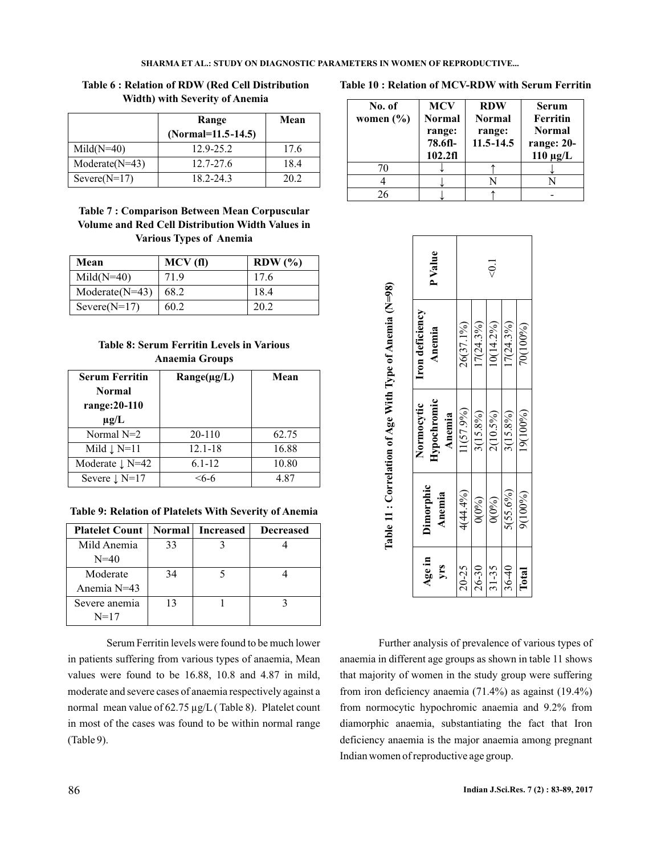**Table 6 : Relation of RDW (Red Cell Distribution Width) with Severity of Anemia**

|                  | Range                | Mean |
|------------------|----------------------|------|
|                  | $(Normal=11.5-14.5)$ |      |
| $Mid(N=40)$      | 12.9-25.2            | 17.6 |
| $Modernet(N=43)$ | $12.7 - 27.6$        | 18.4 |
| $Severe(N=17)$   | 18.2-24.3            | 20.2 |

## **Table 7 : Comparison Between Mean Corpuscular Volume and Red Cell Distribution Width Values in Various Types of Anemia**

| Mean               | MCV (fl) | $RDW$ $(\% )$ |
|--------------------|----------|---------------|
| $Mid(N=40)$        | 71.9     | 17.6          |
| Moderate( $N=43$ ) | 68.2     | 18.4          |
| $Severe(N=17)$     | 60.2     | 20.2          |

## **Table 8: Serum Ferritin Levels in Various Anaemia Groups**

| <b>Serum Ferritin</b><br><b>Normal</b><br>range: 20-110<br>$\mu$ g/L | $Range(\mu g/L)$ | Mean  |
|----------------------------------------------------------------------|------------------|-------|
| Normal $N=2$                                                         | $20 - 110$       | 62.75 |
| Mild $\downarrow$ N=11                                               | $12.1 - 18$      | 16.88 |
| Moderate $\downarrow$ N=42                                           | $6.1 - 12$       | 10.80 |
| Severe $\downarrow$ N=17                                             | -6-6             | 4.87  |

**Table 9: Relation of Platelets With Severity of Anemia**

| <b>Platelet Count</b> |    | <b>Normal</b> Increased | <b>Decreased</b> |
|-----------------------|----|-------------------------|------------------|
| Mild Anemia           | 33 |                         |                  |
| $N = 40$              |    |                         |                  |
| Moderate              | 34 |                         |                  |
| Anemia N=43           |    |                         |                  |
| Severe anemia         | 13 |                         |                  |
| $N=17$                |    |                         |                  |

Serum Ferritin levels were found to be much lower in patients suffering from various types of anaemia, Mean values were found to be 16.88, 10.8 and 4.87 in mild, moderate and severe cases of anaemia respectively against a normal mean value of 62.75 µg/L ( Table 8). Platelet count in most of the cases was found to be within normal range (Table 9).

#### **Table 10 : Relation of MCV-RDW with Serum Ferritin**

| No. of<br>women $(\% )$ | <b>MCV</b><br><b>Normal</b><br>range:<br>78.6fl-<br>102.2f1 | <b>RDW</b><br><b>Normal</b><br>range:<br>$11.5 - 14.5$ | <b>Serum</b><br><b>Ferritin</b><br><b>Normal</b><br>range: 20-<br>$110 \mu g/L$ |
|-------------------------|-------------------------------------------------------------|--------------------------------------------------------|---------------------------------------------------------------------------------|
| 70                      |                                                             |                                                        |                                                                                 |
|                         |                                                             |                                                        |                                                                                 |
| 26                      |                                                             |                                                        |                                                                                 |

|               |                     |                                     | Table 11: Correlation of Age With Type of Anemia (N=98) |                  |
|---------------|---------------------|-------------------------------------|---------------------------------------------------------|------------------|
| Age in<br>yrs | Dimorphic<br>Anemia | Hypochromic<br>Normocytic<br>Anemia | Iron deficiency<br>Anemia                               | <b>PValue</b>    |
| 20-25         | 4(44.4%)            | 11(57.9%)                           | 26(37.1%)                                               |                  |
| 26-30         | $0(0\%)$            | 3(15.8%)                            | $17(24.3\%)$                                            |                  |
| $31 - 35$     | $0(0\%)$            | 2(10.5%)                            | $10(14.2\%)$                                            | $\overline{0}$ : |
| $36 - 40$     | $5(55.6\%)$         | 3(15.8%)                            | $[7(24.3\%)$                                            |                  |
| Total         | 9(100%)             | 19(100%)                            | 70(100%)                                                |                  |

Further analysis of prevalence of various types of anaemia in different age groups as shown in table 11 shows that majority of women in the study group were suffering from iron deficiency anaemia (71.4%) as against (19.4%) from normocytic hypochromic anaemia and 9.2% from diamorphic anaemia, substantiating the fact that Iron deficiency anaemia is the major anaemia among pregnant Indian women of reproductive age group.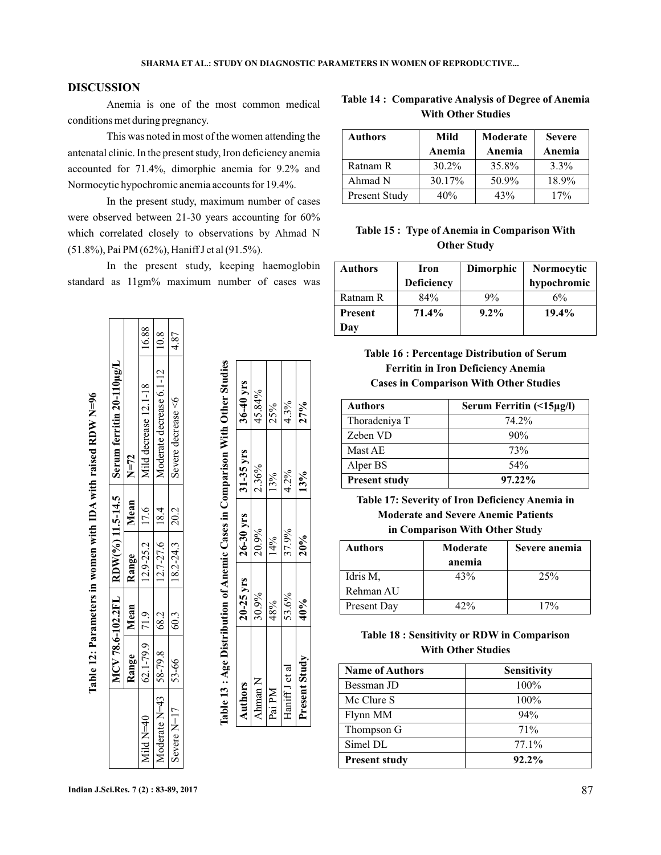## **DISCUSSION**

Anemia is one of the most common medical conditions met during pregnancy.

This was noted in most of the women attending the antenatal clinic. In the present study, Iron deficiency anemia accounted for 71.4%, dimorphic anemia for 9.2% and Normocytic hypochromic anemia accounts for 19.4%.

In the present study, maximum number of cases were observed between 21-30 years accounting for 60% which correlated closely to observations by Ahmad N (51.8%), Pai PM (62%), Haniff J et al (91.5%).

In the present study, keeping haemoglobin standard as 11gm% maximum number of cases was

|                                          |                    |      |                                                                                      |             | Table 12: Parameters in women with IDA with raised RDW N=96   |       |
|------------------------------------------|--------------------|------|--------------------------------------------------------------------------------------|-------------|---------------------------------------------------------------|-------|
|                                          |                    |      |                                                                                      |             | $MCV 78.6-102.2FL$ RDW(%) 11.5-14.5 Serum ferritin 20-110µg/L |       |
|                                          | Range Nean Range   |      |                                                                                      | Mean $N=72$ |                                                               |       |
| Mild $N=40$                              | $62.1 - 79.9$ 71.9 |      | $\begin{array}{ c c c c c c c } \hline 12.9-25.2 & 17.6 \\ \hline \end{array}$       |             | Mild decrease 12.1-18                                         | 16.88 |
| Moderate N=43 $\mid$ 58-79.8 $\mid$ 68.2 |                    |      | $12.7 - 27.6$ 18.4                                                                   |             | Moderate decrease 6.1-12                                      | 10.8  |
| Severe $N=17$                            | 53-66              | 60.3 | $\begin{array}{ c c c c c c c c } \hline 18.2 & -24.3 & -20.2 \\ \hline \end{array}$ |             | Severe decrease <6                                            | 4.87  |
|                                          |                    |      |                                                                                      |             |                                                               |       |

Table 12: Parameters in women with IDA with raised RDW N=96

**The Communication** 

|                                                                              | $36-40$ yrs                                              |
|------------------------------------------------------------------------------|----------------------------------------------------------|
|                                                                              |                                                          |
|                                                                              |                                                          |
|                                                                              | $1.26 \text{ erg}$ $1.26 \text{ erg}$ $1.31 \text{ erg}$ |
| Table 13 : Age Distribution of Anemic Cases in Comparison With Other Studies | $\Delta$ uthors                                          |

| Authors        | $20 - 25$ yrs | $+26-30$ yrs | $31-35$ yrs | $36-40$ yrs |
|----------------|---------------|--------------|-------------|-------------|
| Ahman N        | 30.9%         | 20.9%        | 2.36%       | 45.84%      |
| Pai PM         | 48%           | 14%          | 13%         | 25%         |
| Haniff J et al | 53.6%         | 37.9%        | 4.2%        | 4.3%        |
| Present Study  | 40%           | 20%          | 13%         | 27%         |

## **Table 14 : Comparative Analysis of Degree of Anemia With Other Studies**

| <b>Authors</b>       | Mild<br>Anemia | Moderate<br>Anemia | <b>Severe</b><br>Anemia |
|----------------------|----------------|--------------------|-------------------------|
| Ratnam R             | $30.2\%$       | 35.8%              | $3.3\%$                 |
| Ahmad N              | 30.17%         | 50.9%              | 18.9%                   |
| <b>Present Study</b> | 40%            | 43%                | 17%                     |

# **Table 15 : Type of Anemia in Comparison With Other Study**

| Authors        | Iron       | Dimorphic | <b>Normocytic</b> |
|----------------|------------|-----------|-------------------|
|                | Deficiency |           | hypochromic       |
| Ratnam R       | 84%        | 9%        | 6%                |
| <b>Present</b> | 71.4%      | $9.2\%$   | $19.4\%$          |
| Day            |            |           |                   |

**Table 16 : Percentage Distribution of Serum Ferritin in Iron Deficiency Anemia Cases in Comparison With Other Studies**

| <b>Authors</b>       | Serum Ferritin (<15µg/l) |
|----------------------|--------------------------|
| Thoradeniya T        | 74.2%                    |
| Zeben VD             | 90%                      |
| Mast AE              | 73%                      |
| Alper BS             | 54%                      |
| <b>Present study</b> | $97.22\%$                |

**Table 17: Severity of Iron Deficiency Anemia in Moderate and Severe Anemic Patients in Comparison With Other Study**

| Authors     | Moderate<br>anemia | Severe anemia |
|-------------|--------------------|---------------|
| Idris M,    | 43%                | 25%           |
| Rehman AU   |                    |               |
| Present Day | 17%                | 17%           |

## **Table 18 : Sensitivity or RDW in Comparison With Other Studies**

| <b>Name of Authors</b> | <b>Sensitivity</b> |
|------------------------|--------------------|
| Bessman JD             | 100%               |
| Mc Clure S             | 100%               |
| Flynn MM               | 94%                |
| Thompson G             | 71%                |
| Simel DL               | $77.1\%$           |
| <b>Present study</b>   | $92.2\%$           |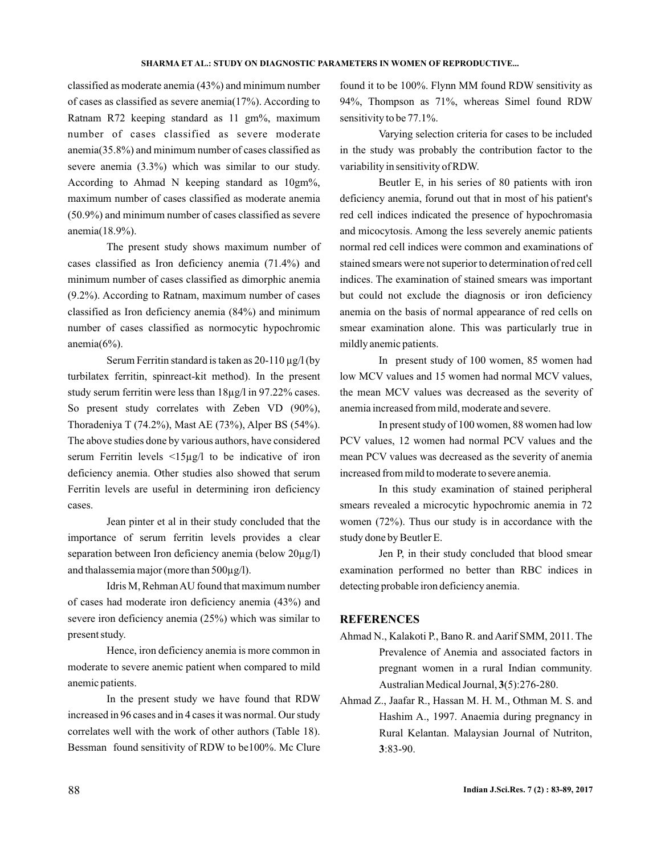classified as moderate anemia (43%) and minimum number of cases as classified as severe anemia(17%). According to Ratnam R72 keeping standard as 11 gm%, maximum number of cases classified as severe moderate anemia(35.8%) and minimum number of cases classified as severe anemia (3.3%) which was similar to our study. According to Ahmad N keeping standard as 10gm%, maximum number of cases classified as moderate anemia (50.9%) and minimum number of cases classified as severe anemia(18.9%).

The present study shows maximum number of cases classified as Iron deficiency anemia (71.4%) and minimum number of cases classified as dimorphic anemia (9.2%). According to Ratnam, maximum number of cases classified as Iron deficiency anemia (84%) and minimum number of cases classified as normocytic hypochromic anemia $(6\%)$ .

Serum Ferritin standard is taken as  $20-110 \mu g/l$  (by turbilatex ferritin, spinreact-kit method). In the present study serum ferritin were less than 18µg/l in 97.22% cases. So present study correlates with Zeben VD (90%), Thoradeniya T (74.2%), Mast AE (73%), Alper BS (54%). The above studies done by various authors, have considered serum Ferritin levels <15µg/l to be indicative of iron deficiency anemia. Other studies also showed that serum Ferritin levels are useful in determining iron deficiency cases.

Jean pinter et al in their study concluded that the importance of serum ferritin levels provides a clear separation between Iron deficiency anemia (below  $20\mu$ g/l) and thalassemia major (more than 500µg/l).

Idris M, RehmanAU found that maximum number of cases had moderate iron deficiency anemia (43%) and severe iron deficiency anemia (25%) which was similar to present study.

Hence, iron deficiency anemia is more common in moderate to severe anemic patient when compared to mild anemic patients.

In the present study we have found that RDW increased in 96 cases and in 4 cases it was normal. Our study correlates well with the work of other authors (Table 18). Bessman found sensitivity of RDW to be100%. Mc Clure

found it to be 100%. Flynn MM found RDW sensitivity as 94%, Thompson as 71%, whereas Simel found RDW sensitivity to be 77.1%.

Varying selection criteria for cases to be included in the study was probably the contribution factor to the variability in sensitivity of RDW.

Beutler E, in his series of 80 patients with iron deficiency anemia, forund out that in most of his patient's red cell indices indicated the presence of hypochromasia and micocytosis. Among the less severely anemic patients normal red cell indices were common and examinations of stained smears were not superior to determination of red cell indices. The examination of stained smears was important but could not exclude the diagnosis or iron deficiency anemia on the basis of normal appearance of red cells on smear examination alone. This was particularly true in mildly anemic patients.

In present study of 100 women, 85 women had low MCV values and 15 women had normal MCV values, the mean MCV values was decreased as the severity of anemia increased from mild, moderate and severe.

In present study of 100 women, 88 women had low PCV values, 12 women had normal PCV values and the mean PCV values was decreased as the severity of anemia increased from mild to moderate to severe anemia.

In this study examination of stained peripheral smears revealed a microcytic hypochromic anemia in 72 women (72%). Thus our study is in accordance with the study done by Beutler E.

Jen P, in their study concluded that blood smear examination performed no better than RBC indices in detecting probable iron deficiency anemia.

### **REFERENCES**

- Ahmad N., Kalakoti P., Bano R. and Aarif SMM, 2011. The Prevalence of Anemia and associated factors in pregnant women in a rural Indian community. Australian Medical Journal, 3(5):276-280.
- Ahmad Z., Jaafar R., Hassan M. H. M., Othman M. S. and Hashim A., 1997. Anaemia during pregnancy in Rural Kelantan. Malaysian Journal of Nutriton, :83-90. **3**